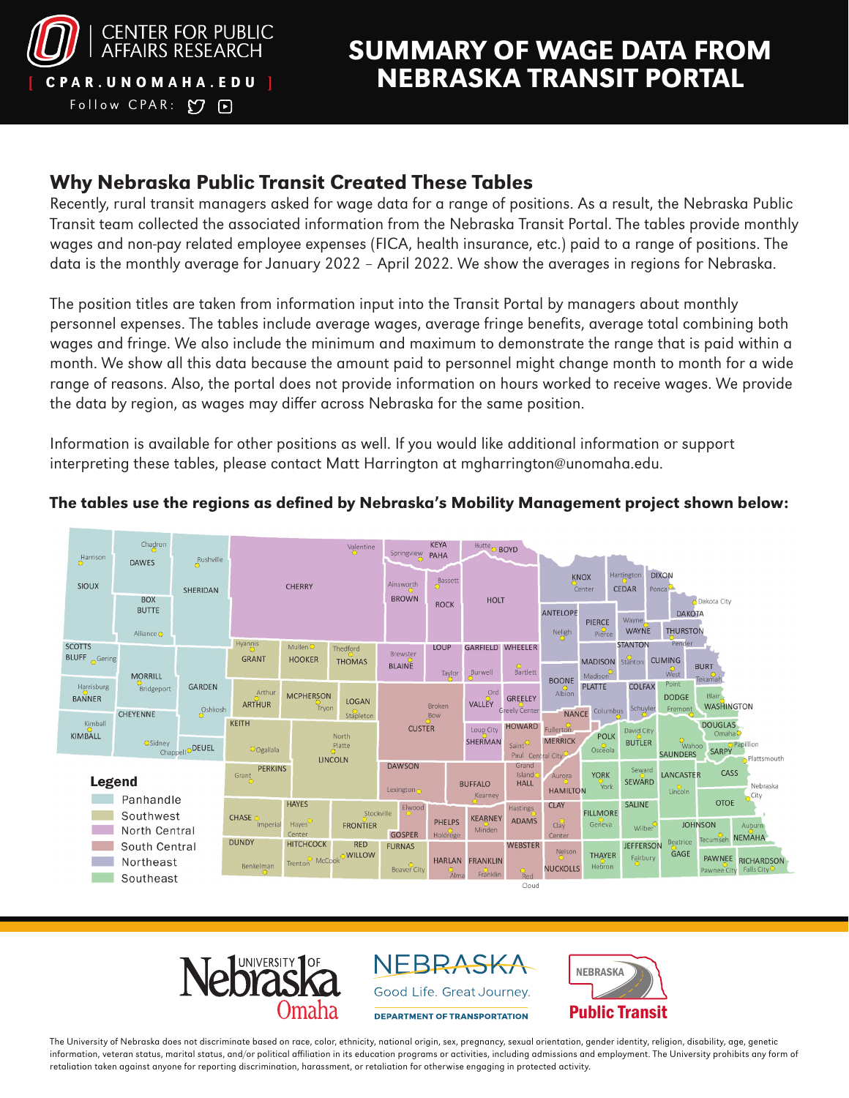

Follow CPAR:  $O$  P

# SUMMARY OF WAGE DATA FROM CPAR. UNOMAHA.EDU ] NEBRASKA TRANSIT PORTAL

#### Why Nebraska Public Transit Created These Tables

Recently, rural transit managers asked for wage data for a range of positions. As a result, the Nebraska Public Transit team collected the associated information from the Nebraska Transit Portal. The tables provide monthly wages and non-pay related employee expenses (FICA, health insurance, etc.) paid to a range of positions. The data is the monthly average for January 2022 – April 2022. We show the averages in regions for Nebraska.

The position titles are taken from information input into the Transit Portal by managers about monthly personnel expenses. The tables include average wages, average fringe benefits, average total combining both wages and fringe. We also include the minimum and maximum to demonstrate the range that is paid within a month. We show all this data because the amount paid to personnel might change month to month for a wide range of reasons. Also, the portal does not provide information on hours worked to receive wages. We provide the data by region, as wages may differ across Nebraska for the same position.

Information is available for other positions as well. If you would like additional information or support interpreting these tables, please contact Matt Harrington at [mgharrington@unomaha.edu.](mailto:mgharrington%40unomaha.edu?subject=)



#### The tables use the regions as defined by Nebraska's Mobility Management project shown below:



NEBRASKA Good Life. Great Journey.

**DEPARTMENT OF TRANSPORTATION** 



The University of Nebraska does not discriminate based on race, color, ethnicity, national origin, sex, pregnancy, sexual orientation, gender identity, religion, disability, age, genetic information, veteran status, marital status, and/or political affiliation in its education programs or activities, including admissions and employment. The University prohibits any form of retaliation taken against anyone for reporting discrimination, harassment, or retaliation for otherwise engaging in protected activity.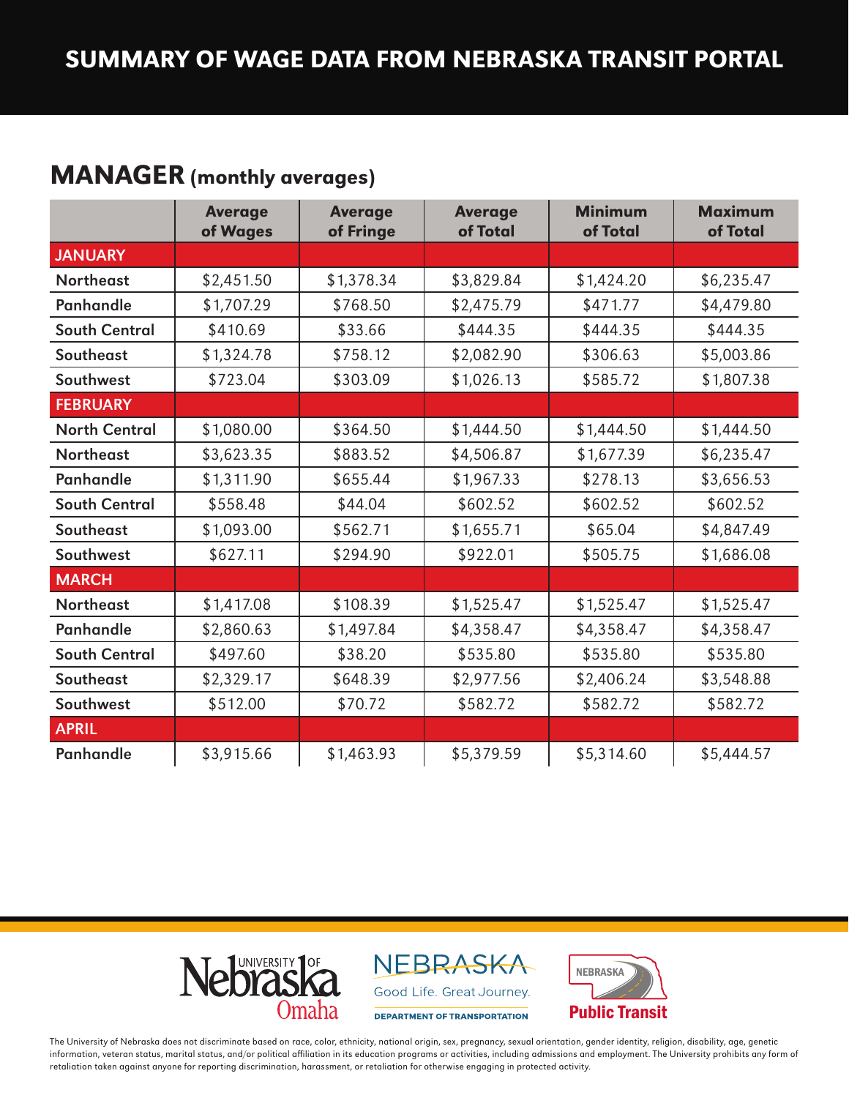## MANAGER (monthly averages)

|                      | <b>Average</b><br>of Wages | <b>Average</b><br>of Fringe | <b>Average</b><br>of Total | <b>Minimum</b><br>of Total | <b>Maximum</b><br>of Total |
|----------------------|----------------------------|-----------------------------|----------------------------|----------------------------|----------------------------|
| <b>JANUARY</b>       |                            |                             |                            |                            |                            |
| <b>Northeast</b>     | \$2,451.50                 | \$1,378.34                  | \$3,829.84                 | \$1,424.20                 | \$6,235.47                 |
| Panhandle            | \$1,707.29                 | \$768.50                    | \$2,475.79                 | \$471.77                   | \$4,479.80                 |
| <b>South Central</b> | \$410.69                   | \$33.66                     | \$444.35                   | \$444.35                   | \$444.35                   |
| Southeast            | \$1,324.78                 | \$758.12                    | \$2,082.90                 | \$306.63                   | \$5,003.86                 |
| Southwest            | \$723.04                   | \$303.09                    | \$1,026.13                 | \$585.72                   | \$1,807.38                 |
| <b>FEBRUARY</b>      |                            |                             |                            |                            |                            |
| <b>North Central</b> | \$1,080.00                 | \$364.50                    | \$1,444.50                 | \$1,444.50                 | \$1,444.50                 |
| <b>Northeast</b>     | \$3,623.35                 | \$883.52                    | \$4,506.87                 | \$1,677.39                 | \$6,235.47                 |
| <b>Panhandle</b>     | \$1,311.90                 | \$655.44                    | \$1,967.33                 | \$278.13                   | \$3,656.53                 |
| <b>South Central</b> | \$558.48                   | \$44.04                     | \$602.52                   | \$602.52                   | \$602.52                   |
| Southeast            | \$1,093.00                 | \$562.71                    | \$1,655.71                 | \$65.04                    | \$4,847.49                 |
| Southwest            | \$627.11                   | \$294.90                    | \$922.01                   | \$505.75                   | \$1,686.08                 |
| <b>MARCH</b>         |                            |                             |                            |                            |                            |
| <b>Northeast</b>     | \$1,417.08                 | \$108.39                    | \$1,525.47                 | \$1,525.47                 | \$1,525.47                 |
| <b>Panhandle</b>     | \$2,860.63                 | \$1,497.84                  | \$4,358.47                 | \$4,358.47                 | \$4,358.47                 |
| <b>South Central</b> | \$497.60                   | \$38.20                     | \$535.80                   | \$535.80                   | \$535.80                   |
| Southeast            | \$2,329.17                 | \$648.39                    | \$2,977.56                 | \$2,406.24                 | \$3,548.88                 |
| Southwest            | \$512.00                   | \$70.72                     | \$582.72                   | \$582.72                   | \$582.72                   |
| <b>APRIL</b>         |                            |                             |                            |                            |                            |
| <b>Panhandle</b>     | \$3,915.66                 | \$1,463.93                  | \$5,379.59                 | \$5,314.60                 | \$5,444.57                 |



NEBRASKA Good Life. Great Journey.

DEPARTMENT OF TRANSPORTATION



The University of Nebraska does not discriminate based on race, color, ethnicity, national origin, sex, pregnancy, sexual orientation, gender identity, religion, disability, age, genetic information, veteran status, marital status, and/or political affiliation in its education programs or activities, including admissions and employment. The University prohibits any form of retaliation taken against anyone for reporting discrimination, harassment, or retaliation for otherwise engaging in protected activity.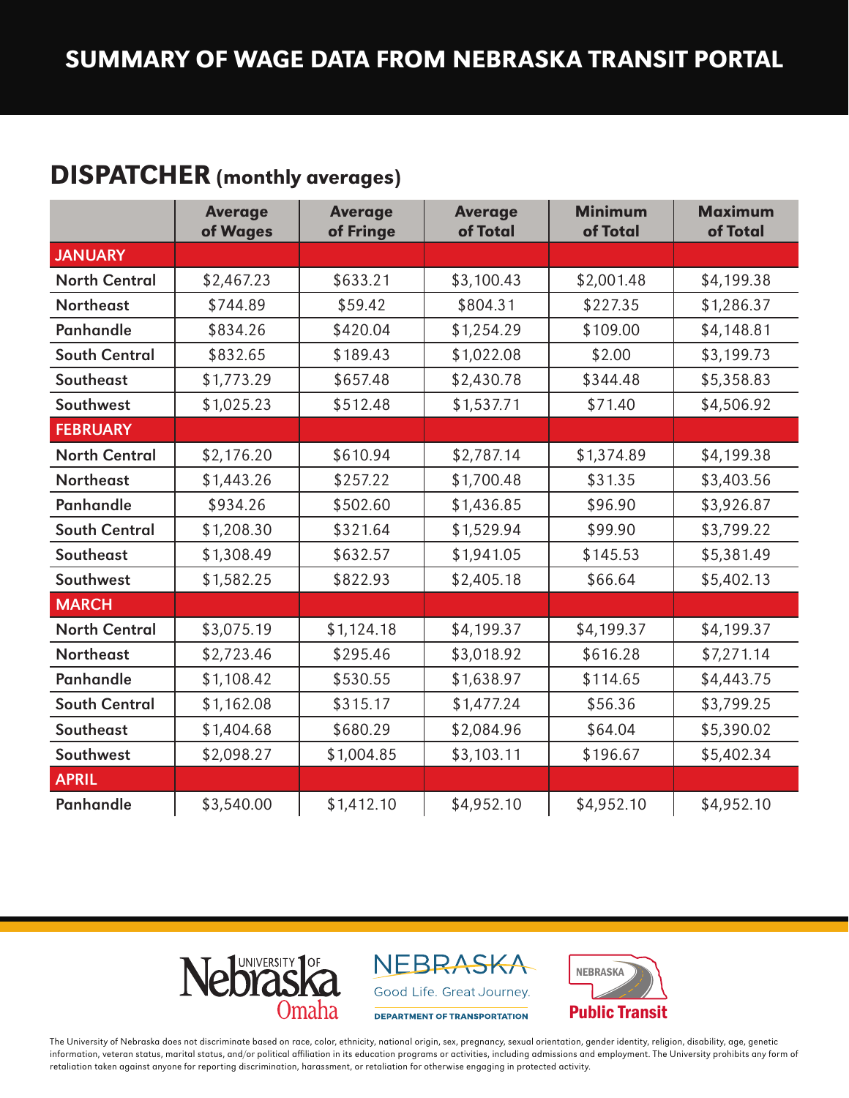# DISPATCHER (monthly averages)

|                      | <b>Average</b><br>of Wages | <b>Average</b><br>of Fringe | <b>Average</b><br>of Total | <b>Minimum</b><br>of Total | <b>Maximum</b><br>of Total |
|----------------------|----------------------------|-----------------------------|----------------------------|----------------------------|----------------------------|
| <b>JANUARY</b>       |                            |                             |                            |                            |                            |
| <b>North Central</b> | \$2,467.23                 | \$633.21                    | \$3,100.43                 | \$2,001.48                 | \$4,199.38                 |
| <b>Northeast</b>     | \$744.89                   | \$59.42                     | \$804.31                   | \$227.35                   | \$1,286.37                 |
| <b>Panhandle</b>     | \$834.26                   | \$420.04                    | \$1,254.29                 | \$109.00                   | \$4,148.81                 |
| <b>South Central</b> | \$832.65                   | \$189.43                    | \$1,022.08                 | \$2.00                     | \$3,199.73                 |
| Southeast            | \$1,773.29                 | \$657.48                    | \$2,430.78                 | \$344.48                   | \$5,358.83                 |
| Southwest            | \$1,025.23                 | \$512.48                    | \$1,537.71                 | \$71.40                    | \$4,506.92                 |
| <b>FEBRUARY</b>      |                            |                             |                            |                            |                            |
| <b>North Central</b> | \$2,176.20                 | \$610.94                    | \$2,787.14                 | \$1,374.89                 | \$4,199.38                 |
| <b>Northeast</b>     | \$1,443.26                 | \$257.22                    | \$1,700.48                 | \$31.35                    | \$3,403.56                 |
| <b>Panhandle</b>     | \$934.26                   | \$502.60                    | \$1,436.85                 | \$96.90                    | \$3,926.87                 |
| <b>South Central</b> | \$1,208.30                 | \$321.64                    | \$1,529.94                 | \$99.90                    | \$3,799.22                 |
| Southeast            | \$1,308.49                 | \$632.57                    | \$1,941.05                 | \$145.53                   | \$5,381.49                 |
| Southwest            | \$1,582.25                 | \$822.93                    | \$2,405.18                 | \$66.64                    | \$5,402.13                 |
| <b>MARCH</b>         |                            |                             |                            |                            |                            |
| <b>North Central</b> | \$3,075.19                 | \$1,124.18                  | \$4,199.37                 | \$4,199.37                 | \$4,199.37                 |
| <b>Northeast</b>     | \$2,723.46                 | \$295.46                    | \$3,018.92                 | \$616.28                   | \$7,271.14                 |
| <b>Panhandle</b>     | \$1,108.42                 | \$530.55                    | \$1,638.97                 | \$114.65                   | \$4,443.75                 |
| <b>South Central</b> | \$1,162.08                 | \$315.17                    | \$1,477.24                 | \$56.36                    | \$3,799.25                 |
| Southeast            | \$1,404.68                 | \$680.29                    | \$2,084.96                 | \$64.04                    | \$5,390.02                 |
| Southwest            | \$2,098.27                 | \$1,004.85                  | \$3,103.11                 | \$196.67                   | \$5,402.34                 |
| <b>APRIL</b>         |                            |                             |                            |                            |                            |
| <b>Panhandle</b>     | \$3,540.00                 | \$1,412.10                  | \$4,952.10                 | \$4,952.10                 | \$4,952.10                 |



NEBRASKA Good Life. Great Journey.

DEPARTMENT OF TRANSPORTATION



The University of Nebraska does not discriminate based on race, color, ethnicity, national origin, sex, pregnancy, sexual orientation, gender identity, religion, disability, age, genetic information, veteran status, marital status, and/or political affiliation in its education programs or activities, including admissions and employment. The University prohibits any form of retaliation taken against anyone for reporting discrimination, harassment, or retaliation for otherwise engaging in protected activity.